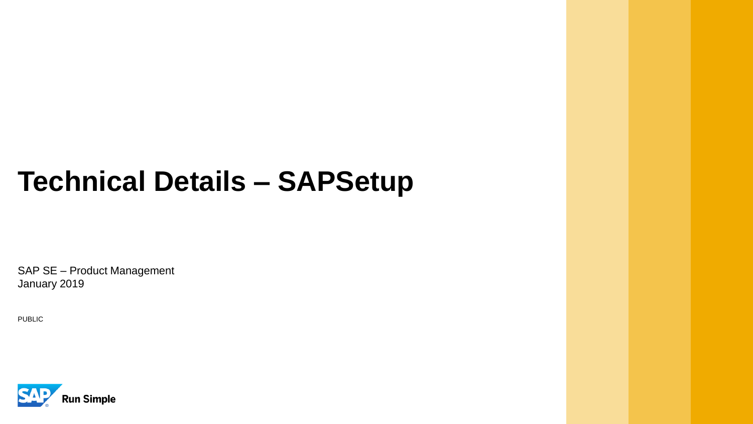# **Technical Details – SAPSetup**

SAP SE – Product Management January 2019

PUBLIC

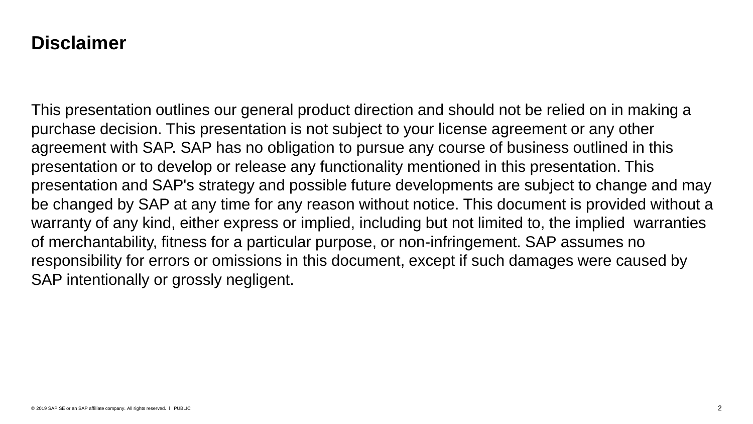#### **Disclaimer**

This presentation outlines our general product direction and should not be relied on in making a purchase decision. This presentation is not subject to your license agreement or any other agreement with SAP. SAP has no obligation to pursue any course of business outlined in this presentation or to develop or release any functionality mentioned in this presentation. This presentation and SAP's strategy and possible future developments are subject to change and may be changed by SAP at any time for any reason without notice. This document is provided without a warranty of any kind, either express or implied, including but not limited to, the implied warranties of merchantability, fitness for a particular purpose, or non-infringement. SAP assumes no responsibility for errors or omissions in this document, except if such damages were caused by SAP intentionally or grossly negligent.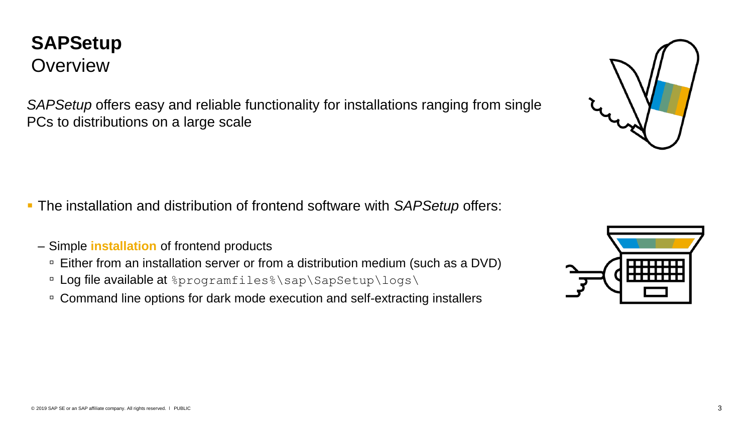#### **SAPSetup Overview**

*SAPSetup* offers easy and reliable functionality for installations ranging from single PCs to distributions on a large scale

- The installation and distribution of frontend software with *SAPSetup* offers:
	- Simple **installation** of frontend products
		- □ Either from an installation server or from a distribution medium (such as a DVD)
		- **Log file available at** &programfiles \sap\SapSetup\logs\
		- Command line options for dark mode execution and self-extracting installers



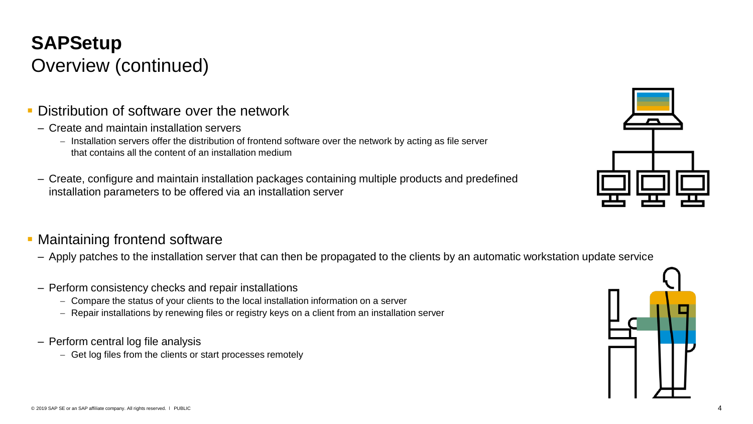# **SAPSetup** Overview (continued)

- **Distribution of software over the network** 
	- Create and maintain installation servers
		- Installation servers offer the distribution of frontend software over the network by acting as file server that contains all the content of an installation medium
	- Create, configure and maintain installation packages containing multiple products and predefined installation parameters to be offered via an installation server

#### **• Maintaining frontend software**

- Apply patches to the installation server that can then be propagated to the clients by an automatic workstation update service
- Perform consistency checks and repair installations
	- Compare the status of your clients to the local installation information on a server
	- Repair installations by renewing files or registry keys on a client from an installation server
- Perform central log file analysis
	- Get log files from the clients or start processes remotely



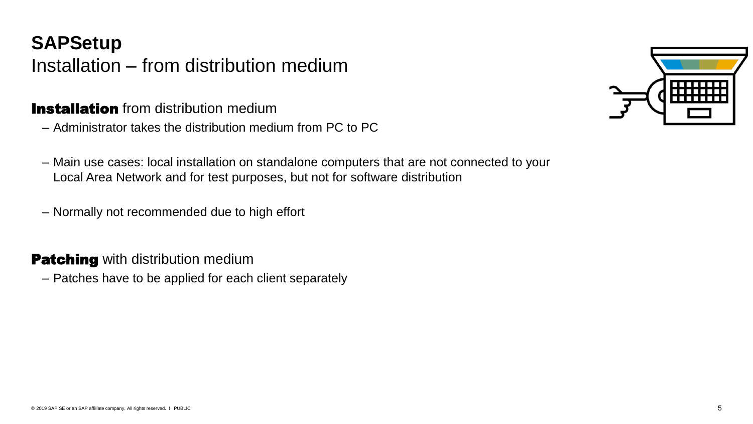# **SAPSetup** Installation – from distribution medium

#### **Installation** from distribution medium

- Administrator takes the distribution medium from PC to PC
- Main use cases: local installation on standalone computers that are not connected to your Local Area Network and for test purposes, but not for software distribution
- Normally not recommended due to high effort

#### **Patching** with distribution medium

– Patches have to be applied for each client separately

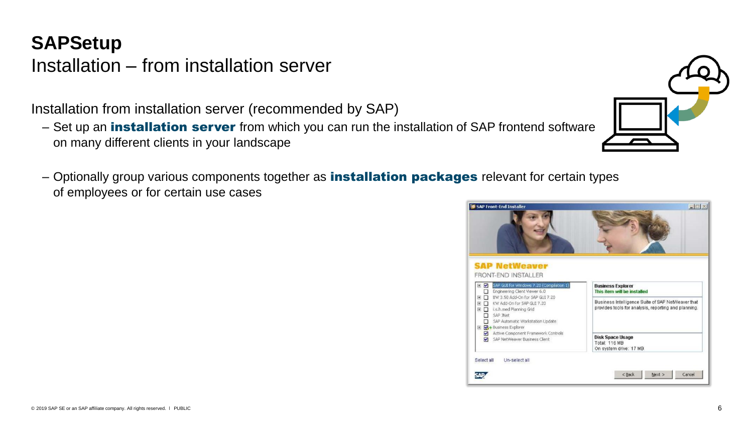#### **SAPSetup** Installation – from installation server

Installation from installation server (recommended by SAP)

- Set up an *installation server* from which you can run the installation of SAP frontend software on many different clients in your landscape
- Optionally group various components together as **installation packages** relevant for certain types of employees or for certain use cases

| <b>Business Explorer</b><br>This item will be installed                                                   |
|-----------------------------------------------------------------------------------------------------------|
| Business Intelligence Suite of SAP NetWeaver that<br>provides tools for analysis, reporting and planning. |
| <b>Disk Space Usage</b><br><b>Total: 116 MB</b><br>On system drive: 17 MB                                 |
|                                                                                                           |

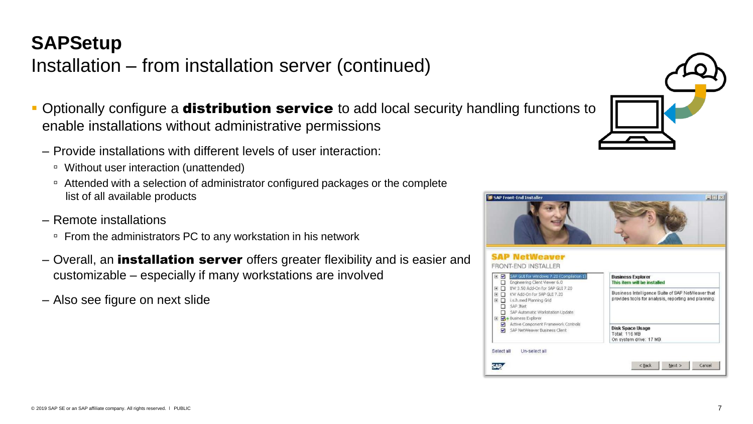#### **SAPSetup**

## Installation – from installation server (continued)

- **Optionally configure a distribution service** to add local security handling functions to enable installations without administrative permissions
	- Provide installations with different levels of user interaction:
		- Without user interaction (unattended)
		- Attended with a selection of administrator configured packages or the complete list of all available products
	- Remote installations
		- From the administrators PC to any workstation in his network
	- Overall, an **installation server** offers greater flexibility and is easier and customizable – especially if many workstations are involved
	- Also see figure on next slide



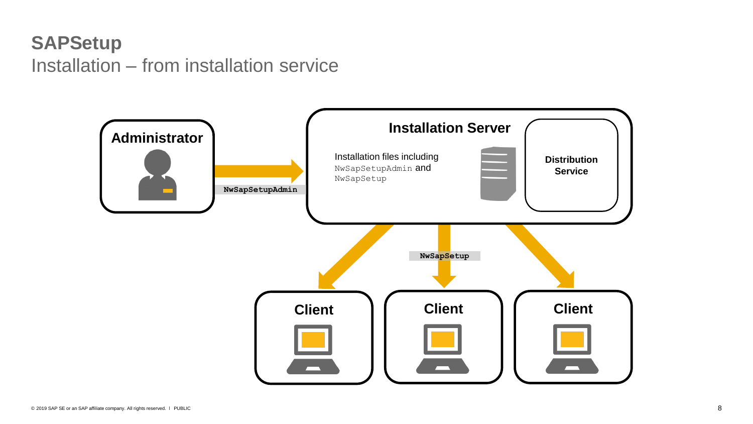## **SAPSetup** Installation – from installation service

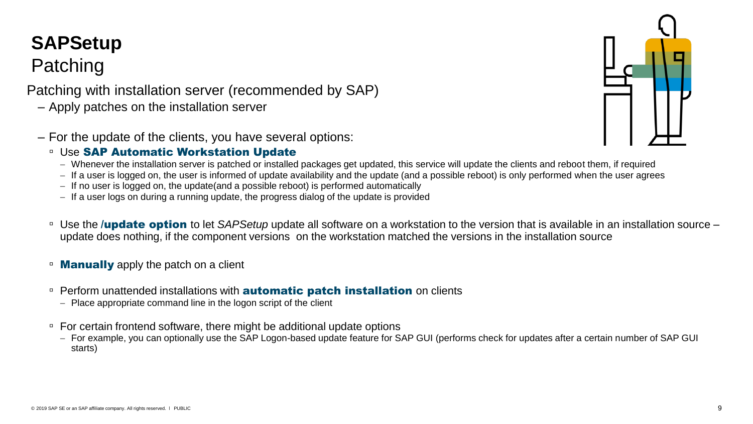# **SAPSetup**

# Patching

#### Patching with installation server (recommended by SAP)

- Apply patches on the installation server
- For the update of the clients, you have several options:

#### □ Use SAP Automatic Workstation Update

- Whenever the installation server is patched or installed packages get updated, this service will update the clients and reboot them, if required
- If a user is logged on, the user is informed of update availability and the update (and a possible reboot) is only performed when the user agrees
- If no user is logged on, the update(and a possible reboot) is performed automatically
- If a user logs on during a running update, the progress dialog of the update is provided
- □ Use the *lupdate option* to let SAPSetup update all software on a workstation to the version that is available in an installation source update does nothing, if the component versions on the workstation matched the versions in the installation source
- **Manually** apply the patch on a client
- □ Perform unattended installations with **automatic patch installation** on clients
	- Place appropriate command line in the logon script of the client
- For certain frontend software, there might be additional update options
	- For example, you can optionally use the SAP Logon-based update feature for SAP GUI (performs check for updates after a certain number of SAP GUI starts)

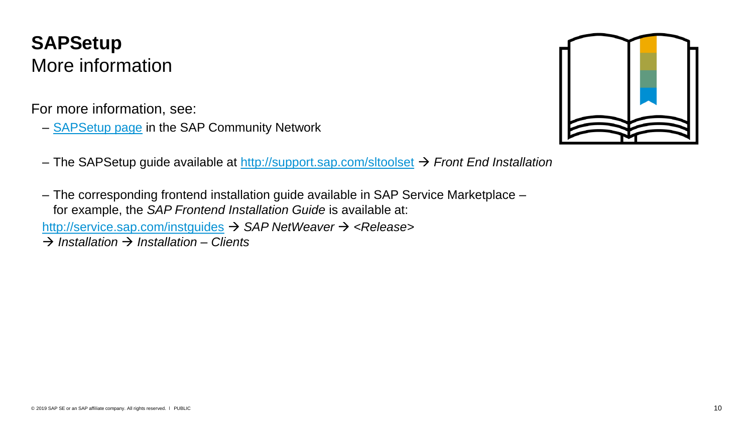#### **SAPSetup** More information

For more information, see:

– **[SAPSetup](http://scn.sap.com/docs/DOC-25230) page** in the SAP Community Network



- The SAPSetup guide available at <http://support.sap.com/sltoolset> *Front End Installation*
- The corresponding frontend installation guide available in SAP Service Marketplace for example, the *SAP Frontend Installation Guide* is available at: <http://service.sap.com/instguides> *SAP NetWeaver <Release> Installation Installation – Clients*